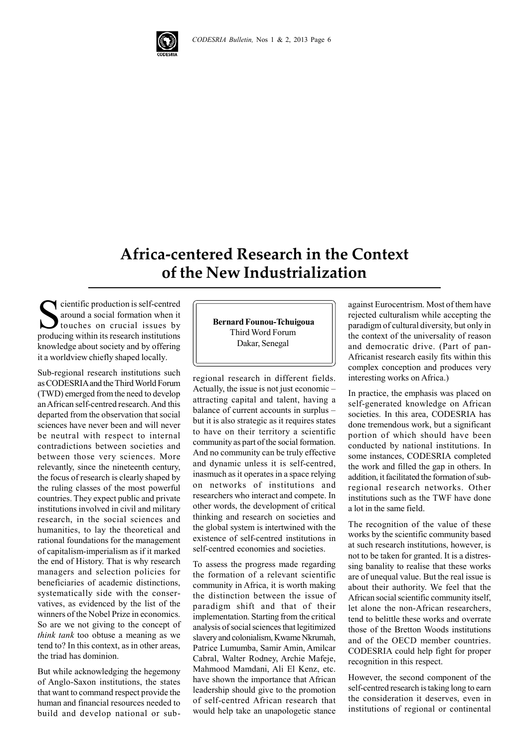

## **Africa-centered Research in the Context of the New Industrialization**

Solution is self-centred<br>around a social formation when it<br>touches on crucial issues by<br>producing within its research institutions around a social formation when it touches on crucial issues by producing within its research institutions knowledge about society and by offering it a worldview chiefly shaped locally.

Sub-regional research institutions such as CODESRIA and the Third World Forum (TWD) emerged from the need to develop an African self-centred research. And this departed from the observation that social sciences have never been and will never be neutral with respect to internal contradictions between societies and between those very sciences. More relevantly, since the nineteenth century, the focus of research is clearly shaped by the ruling classes of the most powerful countries. They expect public and private institutions involved in civil and military research, in the social sciences and humanities, to lay the theoretical and rational foundations for the management of capitalism-imperialism as if it marked the end of History. That is why research managers and selection policies for beneficiaries of academic distinctions, systematically side with the conservatives, as evidenced by the list of the winners of the Nobel Prize in economics. So are we not giving to the concept of *think tank* too obtuse a meaning as we tend to? In this context, as in other areas, the triad has dominion.

But while acknowledging the hegemony of Anglo-Saxon institutions, the states that want to command respect provide the human and financial resources needed to build and develop national or sub **Bernard Founou-Tchuigoua** Third Word Forum Dakar, Senegal

regional research in different fields. Actually, the issue is not just economic – attracting capital and talent, having a balance of current accounts in surplus – but it is also strategic as it requires states to have on their territory a scientific community as part of the social formation. And no community can be truly effective and dynamic unless it is self-centred, inasmuch as it operates in a space relying on networks of institutions and researchers who interact and compete. In other words, the development of critical thinking and research on societies and the global system is intertwined with the existence of self-centred institutions in self-centred economies and societies.

To assess the progress made regarding the formation of a relevant scientific community in Africa, it is worth making the distinction between the issue of paradigm shift and that of their implementation. Starting from the critical analysis of social sciences that legitimized slavery and colonialism, Kwame Nkrumah, Patrice Lumumba, Samir Amin, Amilcar Cabral, Walter Rodney, Archie Mafeje, Mahmood Mamdani, Ali El Kenz, etc. have shown the importance that African leadership should give to the promotion of self-centred African research that would help take an unapologetic stance

against Eurocentrism. Most of them have rejected culturalism while accepting the paradigm of cultural diversity, but only in the context of the universality of reason and democratic drive. (Part of pan-Africanist research easily fits within this complex conception and produces very interesting works on Africa.)

In practice, the emphasis was placed on self-generated knowledge on African societies. In this area, CODESRIA has done tremendous work, but a significant portion of which should have been conducted by national institutions. In some instances, CODESRIA completed the work and filled the gap in others. In addition, it facilitated the formation of subregional research networks. Other institutions such as the TWF have done a lot in the same field.

The recognition of the value of these works by the scientific community based at such research institutions, however, is not to be taken for granted. It is a distressing banality to realise that these works are of unequal value. But the real issue is about their authority. We feel that the African social scientific community itself, let alone the non-African researchers, tend to belittle these works and overrate those of the Bretton Woods institutions and of the OECD member countries. CODESRIA could help fight for proper recognition in this respect.

However, the second component of the self-centred research is taking long to earn the consideration it deserves, even in institutions of regional or continental